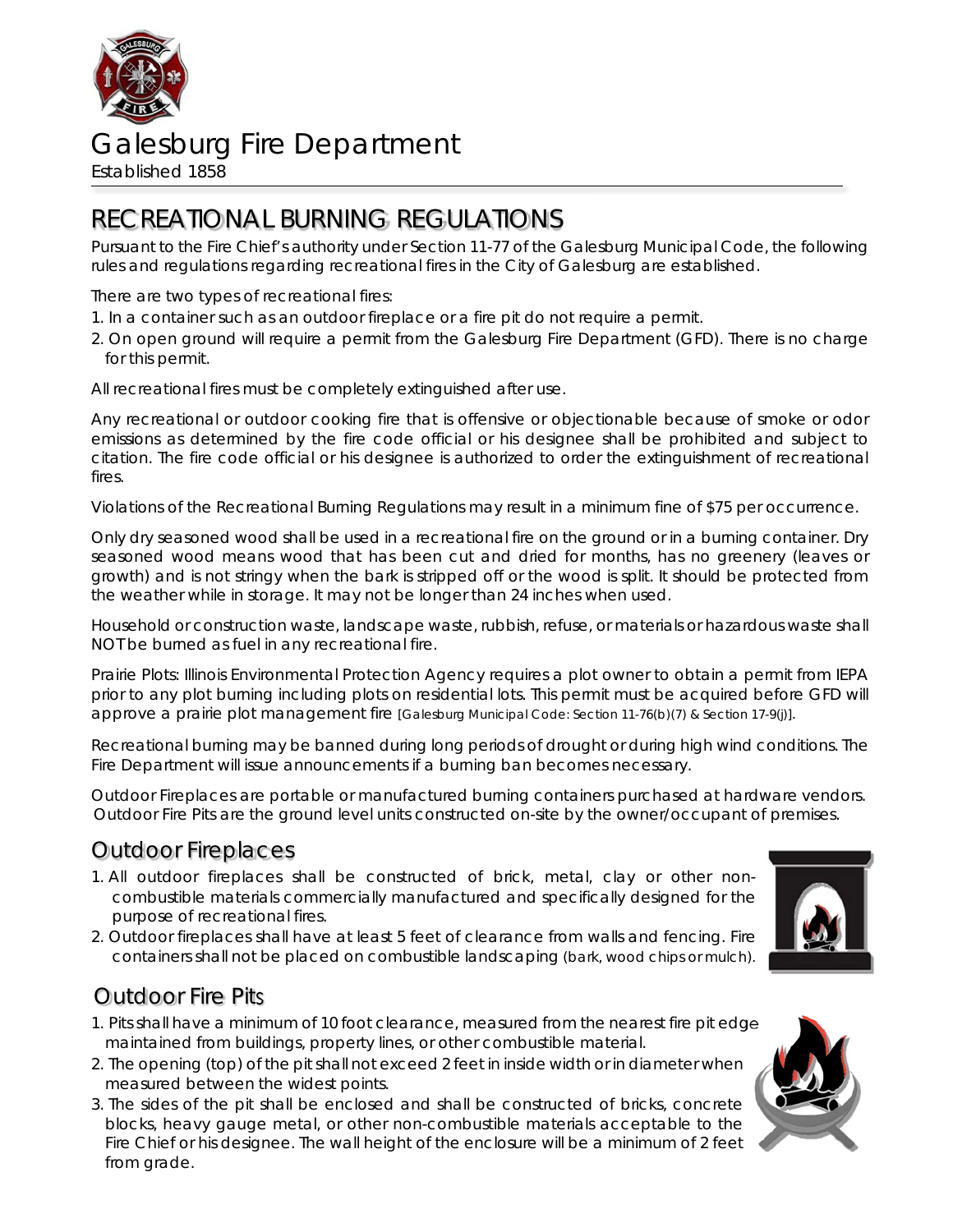

# Galesburg Fire Department

Established 1858

## RECREATIONAL BURNING REGULATIONS

Pursuant to the Fire Chief's authority under Section 11-77 of the Galesburg Municipal Code, the following rules and regulations regarding recreational fires in the City of Galesburg are established.

There are two types of recreational fires:

- 1. In a container such as an outdoor fireplace or a fire pit do not require a permit.
- 2. On open ground will require a permit from the Galesburg Fire Department (GFD). There is no charge for this permit.

All recreational fires must be completely extinguished after use.

Any recreational or outdoor cooking fire that is offensive or objectionable because of smoke or odor emissions as determined by the fire code official or his designee shall be prohibited and subject to citation. The fire code official or his designee is authorized to order the extinguishment of recreational fires.

Violations of the Recreational Burning Regulations may result in a minimum fine of \$75 per occurrence.

Only dry seasoned wood shall be used in a recreational fire on the ground or in a burning container. Dry seasoned wood means wood that has been cut and dried for months, has no greenery (leaves or growth) and is not stringy when the bark is stripped off or the wood is split. It should be protected from the weather while in storage. It may not be longer than 24 inches when used.

Household or construction waste, landscape waste, rubbish, refuse, or materials or hazardous waste shall NOT be burned as fuel in any recreational fire.

Prairie Plots: Illinois Environmental Protection Agency requires a plot owner to obtain a permit from IEPA prior to any plot burning including plots on residential lots. This permit must be acquired before GFD will approve a prairie plot management fire [Galesburg Municipal Code: Section 11-76(b)(7) & Section 17-9(j)].

Recreational burning may be banned during long periods of drought or during high wind conditions. The Fire Department will issue announcements if a burning ban becomes necessary.

Outdoor Fireplaces are portable or manufactured burning containers purchased at hardware vendors. Outdoor Fire Pits are the ground level units constructed on-site by the owner/occupant of premises.

### Outdoor Fireplaces

- 1. All outdoor fireplaces shall be constructed of brick, metal, clay or other noncombustible materials commercially manufactured and specifically designed for the purpose of recreational fires.
- 2. Outdoor fireplaces shall have at least 5 feet of clearance from walls and fencing. Fire containers shall not be placed on combustible landscaping (bark, wood chips or mulch).

### Outdoor Fire Pits

- 1. Pits shall have a minimum of 10 foot clearance, measured from the nearest fire pit edge maintained from buildings, property lines, or other combustible material.
- 2. The opening (top) of the pit shall not exceed 2 feet in inside width or in diameter when measured between the widest points.
- 3. The sides of the pit shall be enclosed and shall be constructed of bricks, concrete blocks, heavy gauge metal, or other non-combustible materials acceptable to the Fire Chief or his designee. The wall height of the enclosure will be a minimum of 2 feet from grade.